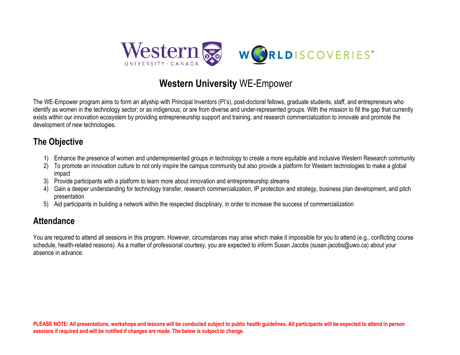

## **Western University** WE-Empower

The WE-Empower program aims to form an allyship with Principal Inventors (PI's), post-doctoral fellows, graduate students, staff, and entrepreneurs who identify as women in the technology sector; or as indigenous; or are from diverse and under-represented groups. With the mission to fill the gap that currently exists within our innovation ecosystem by providing entrepreneurship support and training, and research commercialization to innovate and promote the development of new technologies.

## **The Objective**

- 1) Enhance the presence of women and underrepresented groups in technology to create a more equitable and inclusive Western Research community
- 2) To promote an innovation culture to not only inspire the campus community but also provide a platform for Western technologies to make a global impact
- 3) Provide participants with a platform to learn more about innovation and entrepreneurship streams
- 4) Gain a deeper understanding for technology transfer, research commercialization, IP protection and strategy, business plan development, and pitch presentation
- 5) Aid participants in building a network within the respected disciplinary, in order to increase the success of commercialization

## **Attendance**

You are required to attend all sessions in this program. However, circumstances may arise which make it impossible for you to attend (e.g., conflicting course schedule, health-related reasons). As a matter of professional courtesy, you are expected to inform Susan Jacobs (susan jacobs@uwo.ca) about your absence in advance.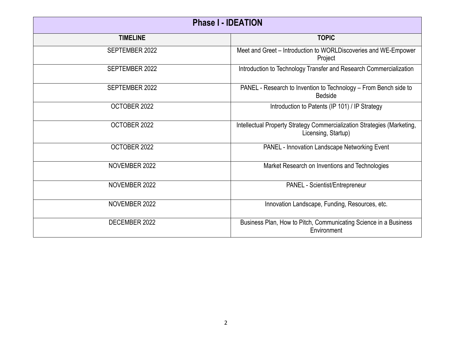| <b>Phase I - IDEATION</b> |                                                                                                |  |
|---------------------------|------------------------------------------------------------------------------------------------|--|
| <b>TIMELINE</b>           | <b>TOPIC</b>                                                                                   |  |
| SEPTEMBER 2022            | Meet and Greet - Introduction to WORLDiscoveries and WE-Empower<br>Project                     |  |
| SEPTEMBER 2022            | Introduction to Technology Transfer and Research Commercialization                             |  |
| SEPTEMBER 2022            | PANEL - Research to Invention to Technology - From Bench side to<br><b>Bedside</b>             |  |
| OCTOBER 2022              | Introduction to Patents (IP 101) / IP Strategy                                                 |  |
| OCTOBER 2022              | Intellectual Property Strategy Commercialization Strategies (Marketing,<br>Licensing, Startup) |  |
| OCTOBER 2022              | PANEL - Innovation Landscape Networking Event                                                  |  |
| NOVEMBER 2022             | Market Research on Inventions and Technologies                                                 |  |
| NOVEMBER 2022             | PANEL - Scientist/Entrepreneur                                                                 |  |
| NOVEMBER 2022             | Innovation Landscape, Funding, Resources, etc.                                                 |  |
| DECEMBER 2022             | Business Plan, How to Pitch, Communicating Science in a Business<br>Environment                |  |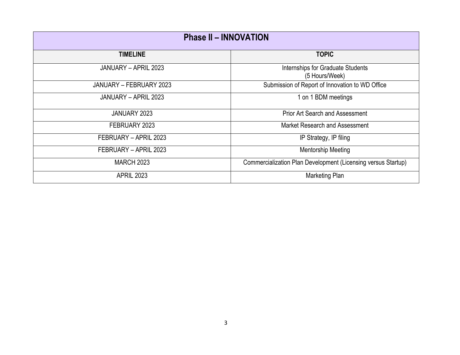| <b>Phase II - INNOVATION</b> |                                                               |
|------------------------------|---------------------------------------------------------------|
| <b>TIMELINE</b>              | <b>TOPIC</b>                                                  |
| JANUARY - APRIL 2023         | Internships for Graduate Students<br>(5 Hours/Week)           |
| JANUARY – FEBRUARY 2023      | Submission of Report of Innovation to WD Office               |
| JANUARY - APRIL 2023         | 1 on 1 BDM meetings                                           |
| JANUARY 2023                 | <b>Prior Art Search and Assessment</b>                        |
| FEBRUARY 2023                | Market Research and Assessment                                |
| FEBRUARY - APRIL 2023        | IP Strategy, IP filing                                        |
| FEBRUARY - APRIL 2023        | <b>Mentorship Meeting</b>                                     |
| <b>MARCH 2023</b>            | Commercialization Plan Development (Licensing versus Startup) |
| <b>APRIL 2023</b>            | Marketing Plan                                                |